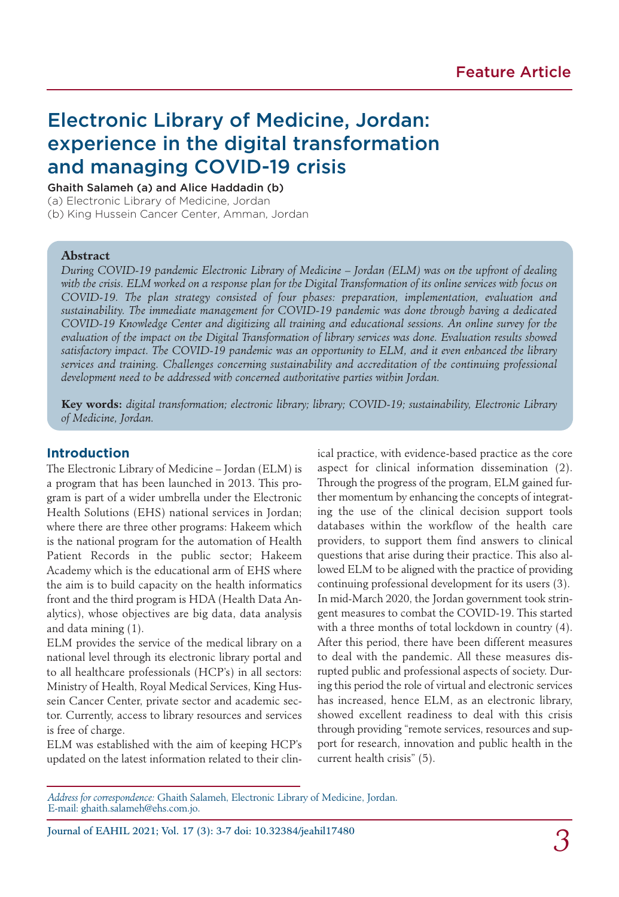# Electronic Library of Medicine, Jordan: experience in the digital transformation and managing COVID-19 crisis

Ghaith Salameh (a) and Alice Haddadin (b)

(a) Electronic Library of Medicine, Jordan

(b) King Hussein Cancer Center, Amman, Jordan

#### **Abstract**

*During COVID-19 pandemic Electronic Library of Medicine – Jordan (ELM) was on the upfront of dealing with the crisis. ELM worked on a response plan for the Digital Transformation of its online services with focus on COVID-19. The plan strategy consisted of four phases: preparation, implementation, evaluation and sustainability. The immediate management for COVID-19 pandemic was done through having a dedicated COVID-19 Knowledge Center and digitizing all training and educational sessions. An online survey for the evaluation of the impact on the Digital Transformation of library services was done. Evaluation results showed satisfactory impact. The COVID-19 pandemic was an opportunity to ELM, and it even enhanced the library services and training. Challenges concerning sustainability and accreditation of the continuing professional development need to be addressed with concerned authoritative parties within Jordan.*

**Key words:** *digital transformation; electronic library; library; COVID-19; sustainability, Electronic Library of Medicine, Jordan.*

#### **Introduction**

The Electronic Library of Medicine – Jordan (ELM) is a program that has been launched in 2013. This program is part of a wider umbrella under the Electronic Health Solutions (EHS) national services in Jordan; where there are three other programs: Hakeem which is the national program for the automation of Health Patient Records in the public sector; Hakeem Academy which is the educational arm of EHS where the aim is to build capacity on the health informatics front and the third program is HDA (Health Data Analytics), whose objectives are big data, data analysis and data mining (1).

ELM provides the service of the medical library on a national level through its electronic library portal and to all healthcare professionals (HCP's) in all sectors: Ministry of Health, Royal Medical Services, King Hussein Cancer Center, private sector and academic sector. Currently, access to library resources and services is free of charge.

ELM was established with the aim of keeping HCP's updated on the latest information related to their clinical practice, with evidence-based practice as the core aspect for clinical information dissemination (2). Through the progress of the program, ELM gained further momentum by enhancing the concepts of integrating the use of the clinical decision support tools databases within the workflow of the health care providers, to support them find answers to clinical questions that arise during their practice. This also allowed ELM to be aligned with the practice of providing continuing professional development for its users (3). In mid-March 2020, the Jordan government took stringent measures to combat the COVID-19. This started with a three months of total lockdown in country (4). After this period, there have been different measures to deal with the pandemic. All these measures disrupted public and professional aspects of society. During this period the role of virtual and electronic services has increased, hence ELM, as an electronic library, showed excellent readiness to deal with this crisis through providing "remote services, resources and support for research, innovation and public health in the current health crisis" (5).

*3* Journal of EAHIL 2021; Vol. 17 (3): 3-7 doi: 10.32384/jeahil17480

*Address for correspondence:* Ghaith Salameh, Electronic Library of Medicine, Jordan. E-mail: ghaith.salameh@ehs.com.jo.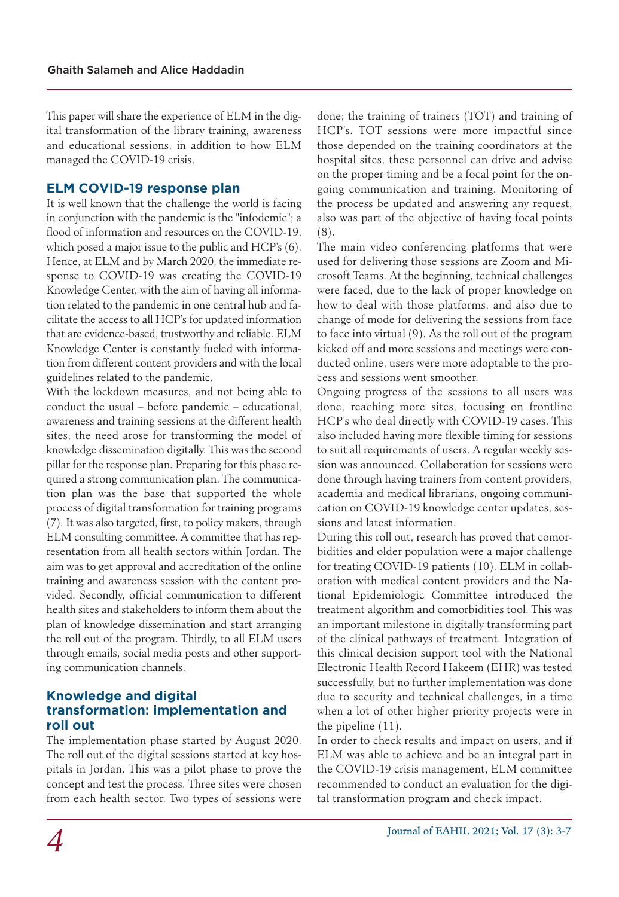This paper will share the experience of ELM in the digital transformation of the library training, awareness and educational sessions, in addition to how ELM managed the COVID-19 crisis.

# **ELM COVID-19 response plan**

It is well known that the challenge the world is facing in conjunction with the pandemic is the "infodemic"; a flood of information and resources on the COVID-19, which posed a major issue to the public and HCP's (6). Hence, at ELM and by March 2020, the immediate response to COVID-19 was creating the COVID-19 Knowledge Center, with the aim of having all information related to the pandemic in one central hub and facilitate the access to all HCP's for updated information that are evidence-based, trustworthy and reliable. ELM Knowledge Center is constantly fueled with information from different content providers and with the local guidelines related to the pandemic.

With the lockdown measures, and not being able to conduct the usual – before pandemic – educational, awareness and training sessions at the different health sites, the need arose for transforming the model of knowledge dissemination digitally. This was the second pillar for the response plan. Preparing for this phase required a strong communication plan. The communication plan was the base that supported the whole process of digital transformation for training programs (7). It was also targeted, first, to policy makers, through ELM consulting committee. A committee that has representation from all health sectors within Jordan. The aim was to get approval and accreditation of the online training and awareness session with the content provided. Secondly, official communication to different health sites and stakeholders to inform them about the plan of knowledge dissemination and start arranging the roll out of the program. Thirdly, to all ELM users through emails, social media posts and other supporting communication channels.

## **Knowledge and digital transformation: implementation and roll out**

The implementation phase started by August 2020. The roll out of the digital sessions started at key hospitals in Jordan. This was a pilot phase to prove the concept and test the process. Three sites were chosen from each health sector. Two types of sessions were

done; the training of trainers (TOT) and training of HCP's. TOT sessions were more impactful since those depended on the training coordinators at the hospital sites, these personnel can drive and advise on the proper timing and be a focal point for the ongoing communication and training. Monitoring of the process be updated and answering any request, also was part of the objective of having focal points (8).

The main video conferencing platforms that were used for delivering those sessions are Zoom and Microsoft Teams. At the beginning, technical challenges were faced, due to the lack of proper knowledge on how to deal with those platforms, and also due to change of mode for delivering the sessions from face to face into virtual (9). As the roll out of the program kicked off and more sessions and meetings were conducted online, users were more adoptable to the process and sessions went smoother.

Ongoing progress of the sessions to all users was done, reaching more sites, focusing on frontline HCP's who deal directly with COVID-19 cases. This also included having more flexible timing for sessions to suit all requirements of users. A regular weekly session was announced. Collaboration for sessions were done through having trainers from content providers, academia and medical librarians, ongoing communication on COVID-19 knowledge center updates, sessions and latest information.

During this roll out, research has proved that comorbidities and older population were a major challenge for treating COVID-19 patients (10). ELM in collaboration with medical content providers and the National Epidemiologic Committee introduced the treatment algorithm and comorbidities tool. This was an important milestone in digitally transforming part of the clinical pathways of treatment. Integration of this clinical decision support tool with the National Electronic Health Record Hakeem (EHR) was tested successfully, but no further implementation was done due to security and technical challenges, in a time when a lot of other higher priority projects were in the pipeline (11).

In order to check results and impact on users, and if ELM was able to achieve and be an integral part in the COVID-19 crisis management, ELM committee recommended to conduct an evaluation for the digital transformation program and check impact.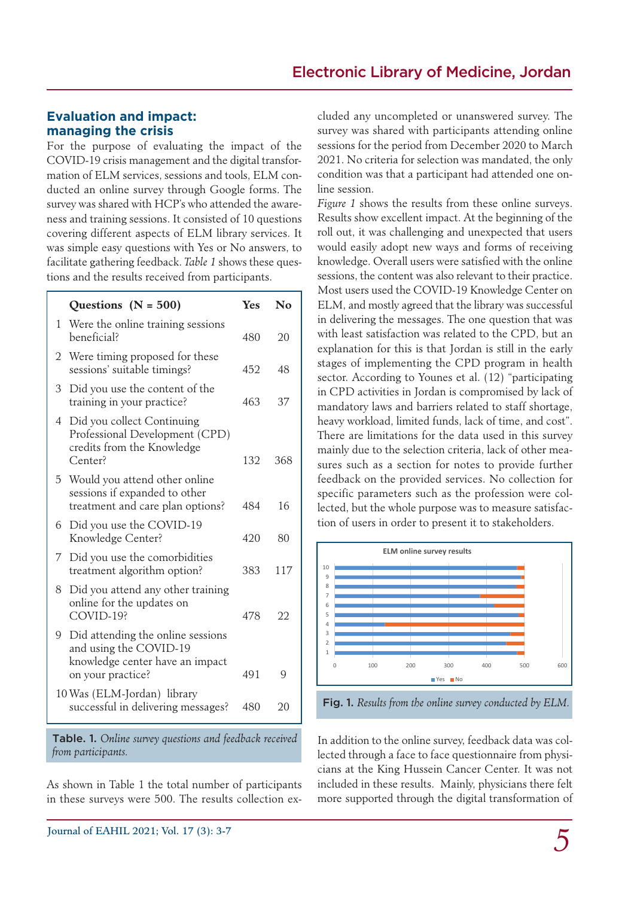### **Evaluation and impact: managing the crisis**

For the purpose of evaluating the impact of the COVID-19 crisis management and the digital transformation of ELM services, sessions and tools, ELM conducted an online survey through Google forms. The survey was shared with HCP's who attended the awareness and training sessions. It consisted of 10 questions covering different aspects of ELM library services. It was simple easy questions with Yes or No answers, to facilitate gathering feedback. *Table 1* shows these questions and the results received from participants.

|   | Questions $(N = 500)$                                                                                               | Yes | $\bf No$ |
|---|---------------------------------------------------------------------------------------------------------------------|-----|----------|
| 1 | Were the online training sessions<br>heneficial?                                                                    | 480 | 20       |
| 2 | Were timing proposed for these<br>sessions' suitable timings?                                                       | 452 | 48       |
| 3 | Did you use the content of the<br>training in your practice?                                                        | 463 | 37       |
| 4 | Did you collect Continuing<br>Professional Development (CPD)<br>credits from the Knowledge<br>Center?               | 132 | 368      |
| 5 | Would you attend other online<br>sessions if expanded to other<br>treatment and care plan options?                  | 484 | 16       |
| 6 | Did you use the COVID-19<br>Knowledge Center?                                                                       | 420 | 80       |
| 7 | Did you use the comorbidities<br>treatment algorithm option?                                                        | 383 | 117      |
| 8 | Did you attend any other training<br>online for the updates on<br>COVID-19?                                         | 478 | 22       |
| 9 | Did attending the online sessions<br>and using the COVID-19<br>knowledge center have an impact<br>on your practice? | 491 | Q        |
|   | 10 Was (ELM-Jordan) library<br>successful in delivering messages?                                                   | 480 | 20       |

Table. 1. *Online survey questions and feedback received from participants.*

As shown in Table 1 the total number of participants in these surveys were 500. The results collection ex-

cluded any uncompleted or unanswered survey. The survey was shared with participants attending online sessions for the period from December 2020 to March 2021. No criteria for selection was mandated, the only condition was that a participant had attended one online session.

*Figure 1* shows the results from these online surveys. Results show excellent impact. At the beginning of the roll out, it was challenging and unexpected that users would easily adopt new ways and forms of receiving knowledge. Overall users were satisfied with the online sessions, the content was also relevant to their practice. Most users used the COVID-19 Knowledge Center on ELM, and mostly agreed that the library was successful in delivering the messages. The one question that was with least satisfaction was related to the CPD, but an explanation for this is that Jordan is still in the early stages of implementing the CPD program in health sector. According to Younes et al. (12) "participating in CPD activities in Jordan is compromised by lack of mandatory laws and barriers related to staff shortage, heavy workload, limited funds, lack of time, and cost". There are limitations for the data used in this survey mainly due to the selection criteria, lack of other measures such as a section for notes to provide further feedback on the provided services. No collection for specific parameters such as the profession were collected, but the whole purpose was to measure satisfaction of users in order to present it to stakeholders.



Fig. 1. *Results from the online survey conducted by ELM.*

In addition to the online survey, feedback data was collected through a face to face questionnaire from physicians at the King Hussein Cancer Center. It was not included in these results. Mainly, physicians there felt more supported through the digital transformation of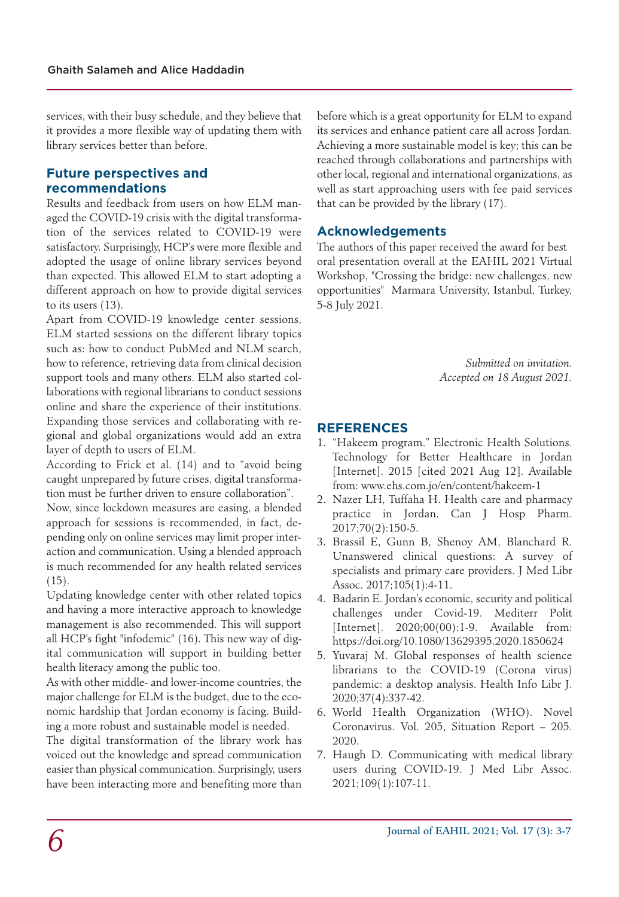services, with their busy schedule, and they believe that it provides a more flexible way of updating them with library services better than before.

### **Future perspectives and recommendations**

Results and feedback from users on how ELM managed the COVID-19 crisis with the digital transformation of the services related to COVID-19 were satisfactory. Surprisingly, HCP's were more flexible and adopted the usage of online library services beyond than expected. This allowed ELM to start adopting a different approach on how to provide digital services to its users (13).

Apart from COVID-19 knowledge center sessions, ELM started sessions on the different library topics such as: how to conduct PubMed and NLM search, how to reference, retrieving data from clinical decision support tools and many others. ELM also started collaborations with regional librarians to conduct sessions online and share the experience of their institutions. Expanding those services and collaborating with regional and global organizations would add an extra layer of depth to users of ELM.

According to Frick et al. (14) and to "avoid being caught unprepared by future crises, digital transformation must be further driven to ensure collaboration".

Now, since lockdown measures are easing, a blended approach for sessions is recommended, in fact, depending only on online services may limit proper interaction and communication. Using a blended approach is much recommended for any health related services (15).

Updating knowledge center with other related topics and having a more interactive approach to knowledge management is also recommended. This will support all HCP's fight "infodemic" (16). This new way of digital communication will support in building better health literacy among the public too.

As with other middle- and lower-income countries, the major challenge for ELM is the budget, due to the economic hardship that Jordan economy is facing. Building a more robust and sustainable model is needed.

The digital transformation of the library work has voiced out the knowledge and spread communication easier than physical communication. Surprisingly, users have been interacting more and benefiting more than

before which is a great opportunity for ELM to expand its services and enhance patient care all across Jordan. Achieving a more sustainable model is key; this can be reached through collaborations and partnerships with other local, regional and international organizations, as well as start approaching users with fee paid services that can be provided by the library (17).

# **Acknowledgements**

The authors of this paper received the award for best oral presentation overall at the EAHIL 2021 Virtual Workshop, "Crossing the bridge: new challenges, new opportunities" Marmara University, Istanbul, Turkey, 5-8 July 2021.

> *Submitted on invitation. Accepted on 18 August 2021.*

# **REFERENCES**

- 1. "Hakeem program." Electronic Health Solutions. Technology for Better Healthcare in Jordan [Internet]. 2015 [cited 2021 Aug 12]. Available from: www.ehs.com.jo/en/content/hakeem-1
- 2. Nazer LH, Tuffaha H. Health care and pharmacy practice in Jordan. Can J Hosp Pharm. 2017;70(2):150-5.
- 3. Brassil E, Gunn B, Shenoy AM, Blanchard R. Unanswered clinical questions: A survey of specialists and primary care providers. J Med Libr Assoc. 2017;105(1):4-11.
- 4. Badarin E. Jordan's economic, security and political challenges under Covid-19. Mediterr Polit [Internet]. 2020;00(00):1-9. Available from: https://doi.org/10.1080/13629395.2020.1850624
- 5. Yuvaraj M. Global responses of health science librarians to the COVID-19 (Corona virus) pandemic: a desktop analysis. Health Info Libr J. 2020;37(4):337-42.
- 6. World Health Organization (WHO). Novel Coronavirus. Vol. 205, Situation Report – 205. 2020.
- 7. Haugh D. Communicating with medical library users during COVID-19. J Med Libr Assoc. 2021;109(1):107-11.